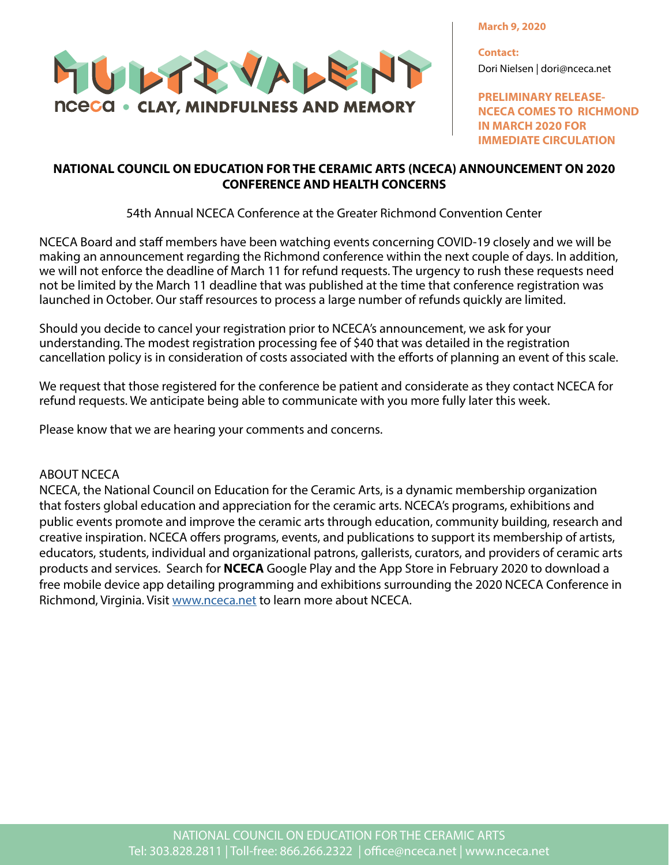**March 9, 2020**



**Contact:** Dori Nielsen | dori@nceca.net

**PRELIMINARY RELEASE-NCECA COMES TO RICHMOND IN MARCH 2020 FOR IMMEDIATE CIRCULATION**

## **NATIONAL COUNCIL ON EDUCATION FOR THE CERAMIC ARTS (NCECA) ANNOUNCEMENT ON 2020 CONFERENCE AND HEALTH CONCERNS**

54th Annual NCECA Conference at the Greater Richmond Convention Center

NCECA Board and staff members have been watching events concerning COVID-19 closely and we will be making an announcement regarding the Richmond conference within the next couple of days. In addition, we will not enforce the deadline of March 11 for refund requests. The urgency to rush these requests need not be limited by the March 11 deadline that was published at the time that conference registration was launched in October. Our staff resources to process a large number of refunds quickly are limited.

Should you decide to cancel your registration prior to NCECA's announcement, we ask for your understanding. The modest registration processing fee of \$40 that was detailed in the registration cancellation policy is in consideration of costs associated with the efforts of planning an event of this scale.

We request that those registered for the conference be patient and considerate as they contact NCECA for refund requests. We anticipate being able to communicate with you more fully later this week.

Please know that we are hearing your comments and concerns.

## ABOUT NCECA

NCECA, the National Council on Education for the Ceramic Arts, is a dynamic membership organization that fosters global education and appreciation for the ceramic arts. NCECA's programs, exhibitions and public events promote and improve the ceramic arts through education, community building, research and creative inspiration. NCECA offers programs, events, and publications to support its membership of artists, educators, students, individual and organizational patrons, gallerists, curators, and providers of ceramic arts products and services. Search for **NCECA** Google Play and the App Store in February 2020 to download a free mobile device app detailing programming and exhibitions surrounding the 2020 NCECA Conference in Richmond, Virginia. Visit www.nceca.net to learn more about NCECA.